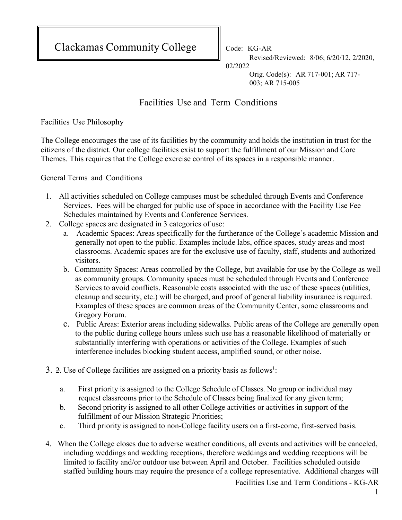Clackamas Community College  $\|\$  Code: KG-AR

Revised/Reviewed: 8/06; 6/20/12, 2/2020, 02/2022

> Orig. Code(s): AR 717-001; AR 717- 003; AR 715-005

## Facilities Use and Term Conditions

Facilities Use Philosophy

The College encourages the use of its facilities by the community and holds the institution in trust for the citizens of the district. Our college facilities exist to support the fulfillment of our Mission and Core Themes. This requires that the College exercise control of its spaces in a responsible manner.

General Terms and Conditions

- 1. All activities scheduled on College campuses must be scheduled through Events and Conference Services. Fees will be charged for public use of space in accordance with the Facility Use Fee Schedules maintained by Events and Conference Services.
- 2. College spaces are designated in 3 categories of use:
	- a. Academic Spaces: Areas specifically for the furtherance of the College's academic Mission and generally not open to the public. Examples include labs, office spaces, study areas and most classrooms. Academic spaces are for the exclusive use of faculty, staff, students and authorized visitors.
	- b. Community Spaces: Areas controlled by the College, but available for use by the College as well as community groups. Community spaces must be scheduled through Events and Conference Services to avoid conflicts. Reasonable costs associated with the use of these spaces (utilities, cleanup and security, etc.) will be charged, and proof of general liability insurance is required. Examples of these spaces are common areas of the Community Center, some classrooms and Gregory Forum.
	- c. Public Areas: Exterior areas including sidewalks. Public areas of the College are generally open to the public during college hours unless such use has a reasonable likelihood of materially or substantially interfering with operations or activities of the College. Examples of such interference includes blocking student access, amplified sound, or other noise.
- 3. 2. Use of College facilities are assigned on a priority basis as follows<sup>1</sup>:
	- a. First priority is assigned to the College Schedule of Classes. No group or individual may request classrooms prior to the Schedule of Classes being finalized for any given term;
	- b. Second priority is assigned to all other College activities or activities in support of the fulfillment of our Mission Strategic Priorities;
	- c. Third priority is assigned to non-College facility users on a first-come, first-served basis.
- 4. When the College closes due to adverse weather conditions, all events and activities will be canceled, including weddings and wedding receptions, therefore weddings and wedding receptions will be limited to facility and/or outdoor use between April and October. Facilities scheduled outside staffed building hours may require the presence of a college representative. Additional charges will

Facilities Use and Term Conditions - KG-AR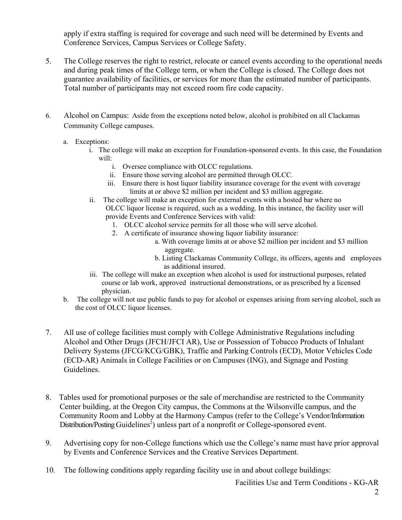apply if extra staffing is required for coverage and such need will be determined by Events and Conference Services, Campus Services or College Safety.

- 5. The College reserves the right to restrict, relocate or cancel events according to the operational needs and during peak times of the College term, or when the College is closed. The College does not guarantee availability of facilities, or services for more than the estimated number of participants. Total number of participants may not exceed room fire code capacity.
- 6. Alcohol on Campus: Aside from the exceptions noted below, alcohol is prohibited on all Clackamas Community College campuses.
	- a. Exceptions:
		- i. The college will make an exception for Foundation-sponsored events. In this case, the Foundation will:
			- i. Oversee compliance with OLCC regulations.
			- ii. Ensure those serving alcohol are permitted through OLCC.
			- iii. Ensure there is host liquor liability insurance coverage for the event with coverage limits at or above \$2 million per incident and \$3 million aggregate.
		- ii. The college will make an exception for external events with a hosted bar where no OLCC liquor license is required, such as a wedding. In this instance, the facility user will provide Events and Conference Services with valid:
			- 1. OLCC alcohol service permits for all those who will serve alcohol.
			- 2. A certificate of insurance showing liquor liability insurance:
				- a. With coverage limits at or above \$2 million per incident and \$3 million aggregate.
				- b. Listing Clackamas Community College, its officers, agents and employees as additional insured.
		- iii. The college will make an exception when alcohol is used for instructional purposes, related course or lab work, approved instructional demonstrations, or as prescribed by a licensed physician.
	- b. The college will not use public funds to pay for alcohol or expenses arising from serving alcohol, such as the cost of OLCC liquor licenses.
- 7. All use of college facilities must comply with College Administrative Regulations including Alcohol and Other Drugs (JFCH/JFCI AR), Use or Possession of Tobacco Products of Inhalant Delivery Systems (JFCG/KCG/GBK), Traffic and Parking Controls (ECD), Motor Vehicles Code (ECD-AR) Animals in College Facilities or on Campuses (ING), and Signage and Posting **Guidelines**
- 8. Tables used for promotional purposes or the sale of merchandise are restricted to the Community Center building, at the Oregon City campus, the Commons at the Wilsonville campus, and the Community Room and Lobby at the Harmony Campus (refer to the College's Vendor/Information Distribution/Posting Guidelines<sup>2</sup>) unless part of a nonprofit or College-sponsored event.
- 9. Advertising copy for non-College functions which use the College's name must have prior approval by Events and Conference Services and the Creative Services Department.
- 10. The following conditions apply regarding facility use in and about college buildings:

Facilities Use and Term Conditions - KG-AR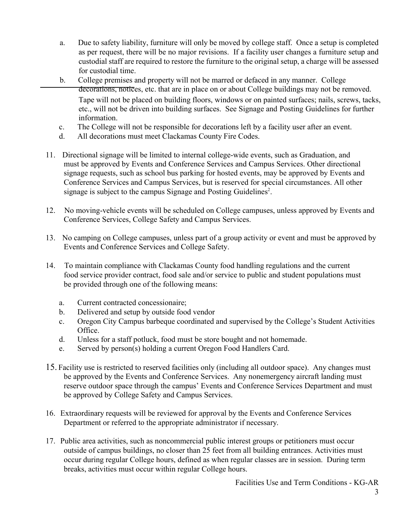- a. Due to safety liability, furniture will only be moved by college staff. Once a setup is completed as per request, there will be no major revisions. If a facility user changes a furniture setup and custodial staff are required to restore the furniture to the original setup, a charge will be assessed for custodial time.
- b. College premises and property will not be marred or defaced in any manner. College decorations, notices, etc. that are in place on or about College buildings may not be removed. Tape will not be placed on building floors, windows or on painted surfaces; nails, screws, tacks, etc., will not be driven into building surfaces. See Signage and Posting Guidelines for further information.
- c. The College will not be responsible for decorations left by a facility user after an event.
- d. All decorations must meet Clackamas County Fire Codes.
- 11. Directional signage will be limited to internal college-wide events, such as Graduation, and must be approved by Events and Conference Services and Campus Services. Other directional signage requests, such as school bus parking for hosted events, may be approved by Events and Conference Services and Campus Services, but is reserved for special circumstances. All other signage is subject to the campus Signage and Posting Guidelines<sup>2</sup>.
- 12. No moving-vehicle events will be scheduled on College campuses, unless approved by Events and Conference Services, College Safety and Campus Services.
- 13. No camping on College campuses, unless part of a group activity or event and must be approved by Events and Conference Services and College Safety.
- 14. To maintain compliance with Clackamas County food handling regulations and the current food service provider contract, food sale and/or service to public and student populations must be provided through one of the following means:
	- a. Current contracted concessionaire;
	- b. Delivered and setup by outside food vendor
	- c. Oregon City Campus barbeque coordinated and supervised by the College's Student Activities Office.
	- d. Unless for a staff potluck, food must be store bought and not homemade.
	- e. Served by person(s) holding a current Oregon Food Handlers Card.
- 15. Facility use is restricted to reserved facilities only (including all outdoor space). Any changes must be approved by the Events and Conference Services. Any nonemergency aircraft landing must reserve outdoor space through the campus' Events and Conference Services Department and must be approved by College Safety and Campus Services.
- 16. Extraordinary requests will be reviewed for approval by the Events and Conference Services Department or referred to the appropriate administrator if necessary.
- 17. Public area activities, such as noncommercial public interest groups or petitioners must occur outside of campus buildings, no closer than 25 feet from all building entrances. Activities must occur during regular College hours, defined as when regular classes are in session. During term breaks, activities must occur within regular College hours.

Facilities Use and Term Conditions - KG-AR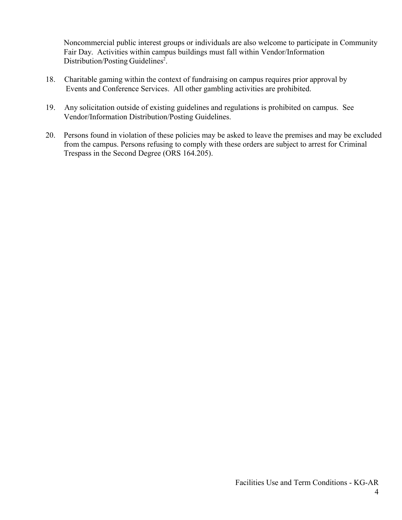Noncommercial public interest groups or individuals are also welcome to participate in Community Fair Day. Activities within campus buildings must fall within Vendor/Information Distribution/Posting Guidelines<sup>2</sup>.

- 18. Charitable gaming within the context of fundraising on campus requires prior approval by Events and Conference Services. All other gambling activities are prohibited.
- 19. Any solicitation outside of existing guidelines and regulations is prohibited on campus. See Vendor/Information Distribution/Posting Guidelines.
- 20. Persons found in violation of these policies may be asked to leave the premises and may be excluded from the campus. Persons refusing to comply with these orders are subject to arrest for Criminal Trespass in the Second Degree (ORS 164.205).